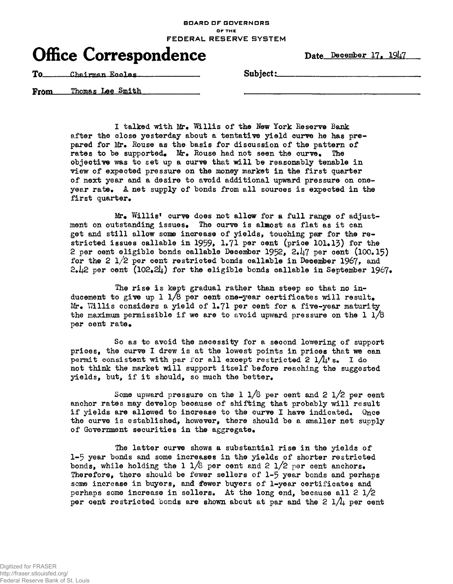**BOARD OF GOVERNORS OF THE** FEDERAL RESERVE SYSTEM

## Office Correspondence Date December 17, 1947

To Chairman Ecoles Subject:

From Thomas Lee Smith

> I talked with Mr. Willis of the New York Reserve Bank after the olose yesterday about a tentative yield curve he has prepared for Mr. Rouse as the basis for discussion of the pattern of rates to be supported. Mr. Rouse had not seen the curve. The objective was to set up a curve that will be reasonably tenable in view of expected pressure on the money market in the first quarter of next year and a desire to avoid additional upward pressure on oneyear rate. A net supply of bonds from all sources is expected in the first quarter.

 $Mr_{\bullet}$  Willis' curve does not allow for a full range of adjustment on outstanding issues. The curve is almost as flat as it can get and still allow some increase of yields, touching par for the restricted issues callable in 1959, 1.71 per cent (price 101.13) for the 2 per cent eligible bonds callable December 1952, 2.47 per cent  $(100, 15)$ for the 2  $1/2$  per cent restricted bonds callable in December 1967, and 2.42 per cent (102.24) for the eligible bonds callable in September 1967.

The rise is kept gradual rather than steep so that no inducement to give up 1  $1/8$  per cent one-year certificates will result.  $Mr_{\bullet}$  Willis considers a yield of 1.71 per cent for a five-year maturity the maximum permissible if we are to avoid upward pressure on the  $1\frac{1}{8}$ per cent rate.

So as to avoid the necessity for a second lowering of support prices, the curve I drew is at the lowest points in prices that we can permit consistent with par for all except restricted 2  $1/l_1$ 's. I do not think the market will support itself before reaching the suggested yields, but, if it should, so much the better.

Some upward pressure on the 1  $1/8$  per cent and 2  $1/2$  per cent anchor rates may develop because of shifting that probably will result if yields are allowed to increase to the curve I have indicated. Once the curve is established, however, there should be a smaller net supply of Government securities in the aggregate.

The latter curve shows a substantial rise in the yields of 1-5 year bonds and some increases in the yields of shorter restricted bonds, while holding the 1  $1/8$  per cent and 2  $1/2$  per cent anchors. Therefore, there should be fewer sellers of 1-5 year bonds and perhaps some increase in buyers, and fewer buyers of 1-year certificates and perhaps some increase in sellers. At the long end, because all 2 l/2 per cent restricted bonds are shown about at par and the  $2 \frac{1}{4}$  per cent